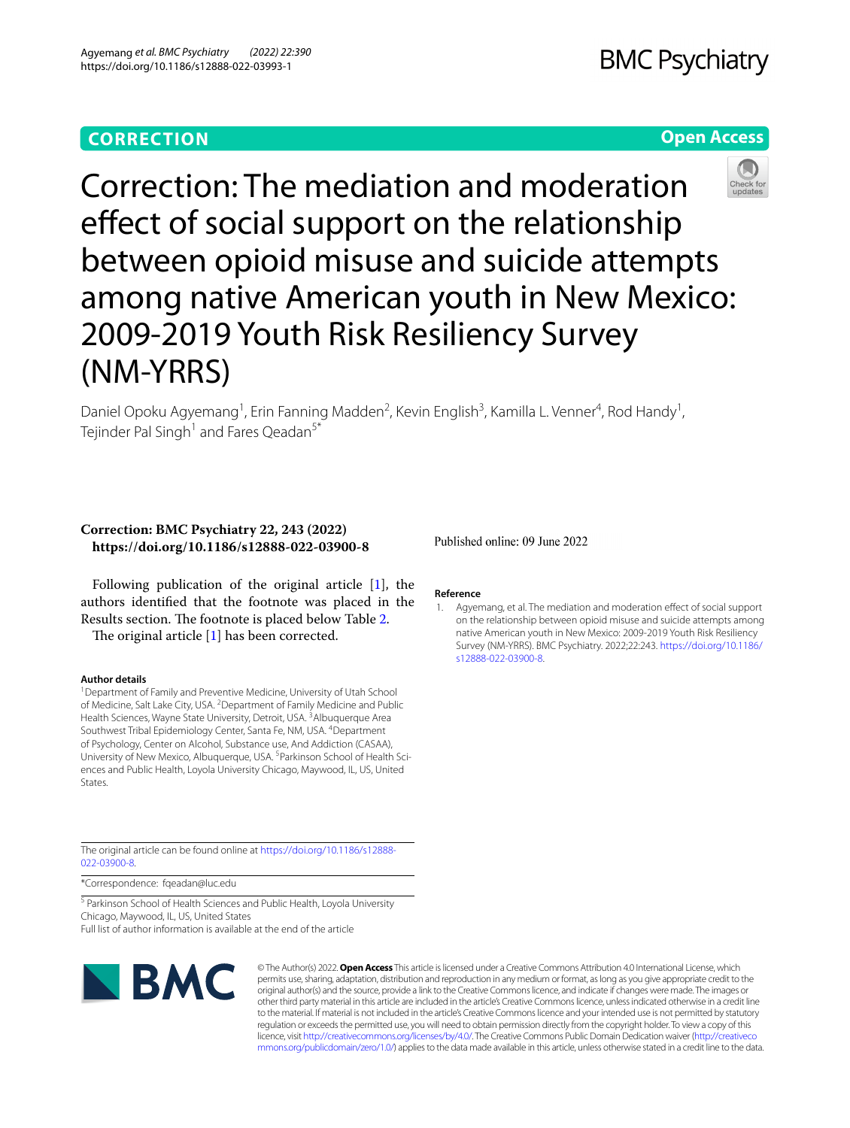# **CORRECTION**

# **Open Access**

Correction: The mediation and moderation effect of social support on the relationship between opioid misuse and suicide attempts among native American youth in New Mexico: 2009-2019 Youth Risk Resiliency Survey (NM-YRRS)

Daniel Opoku Agyemang<sup>1</sup>, Erin Fanning Madden<sup>2</sup>, Kevin English<sup>3</sup>, Kamilla L. Venner<sup>4</sup>, Rod Handy<sup>1</sup>, Tejinder Pal Singh<sup>1</sup> and Fares Qeadan<sup>5\*</sup>

## **Correction: BMC Psychiatry 22, 243 (2022) https://doi.org/10.1186/s12888-022-03900-8**

Following publication of the original article [\[1](#page-0-0)], the authors identifed that the footnote was placed in the Results section. The footnote is placed below Table [2.](#page-1-0)

The original article  $[1]$  $[1]$  has been corrected.

## **Author details**

<sup>1</sup> Department of Family and Preventive Medicine, University of Utah School of Medicine, Salt Lake City, USA. <sup>2</sup> Department of Family Medicine and Public Health Sciences, Wayne State University, Detroit, USA.<sup>3</sup> Albuquerque Area Southwest Tribal Epidemiology Center, Santa Fe, NM, USA. <sup>4</sup>Department of Psychology, Center on Alcohol, Substance use, And Addiction (CASAA), University of New Mexico, Albuquerque, USA.<sup>5</sup> Parkinson School of Health Sciences and Public Health, Loyola University Chicago, Maywood, IL, US, United States.

The original article can be found online at [https://doi.org/10.1186/s12888-](https://doi.org/10.1186/s12888-022-03900-8) [022-03900-8](https://doi.org/10.1186/s12888-022-03900-8).

\*Correspondence: fqeadan@luc.edu

<sup>5</sup> Parkinson School of Health Sciences and Public Health, Loyola University Chicago, Maywood, IL, US, United States Full list of author information is available at the end of the article

 $\blacksquare$  BMC

© The Author(s) 2022. **Open Access** This article is licensed under a Creative Commons Attribution 4.0 International License, which permits use, sharing, adaptation, distribution and reproduction in any medium or format, as long as you give appropriate credit to the original author(s) and the source, provide a link to the Creative Commons licence, and indicate if changes were made. The images or other third party material in this article are included in the article's Creative Commons licence, unless indicated otherwise in a credit line to the material. If material is not included in the article's Creative Commons licence and your intended use is not permitted by statutory regulation or exceeds the permitted use, you will need to obtain permission directly from the copyright holder. To view a copy of this licence, visit [http://creativecommons.org/licenses/by/4.0/.](http://creativecommons.org/licenses/by/4.0/) The Creative Commons Public Domain Dedication waiver ([http://creativeco](http://creativecommons.org/publicdomain/zero/1.0/) [mmons.org/publicdomain/zero/1.0/](http://creativecommons.org/publicdomain/zero/1.0/)) applies to the data made available in this article, unless otherwise stated in a credit line to the data.

Published online: 09 June 2022

### **Reference**

<span id="page-0-0"></span>1. Agyemang, et al. The mediation and moderation efect of social support on the relationship between opioid misuse and suicide attempts among native American youth in New Mexico: 2009-2019 Youth Risk Resiliency Survey (NM-YRRS). BMC Psychiatry. 2022;22:243. [https://doi.org/10.1186/](https://doi.org/10.1186/s12888-022-03900-8) [s12888-022-03900-8](https://doi.org/10.1186/s12888-022-03900-8).